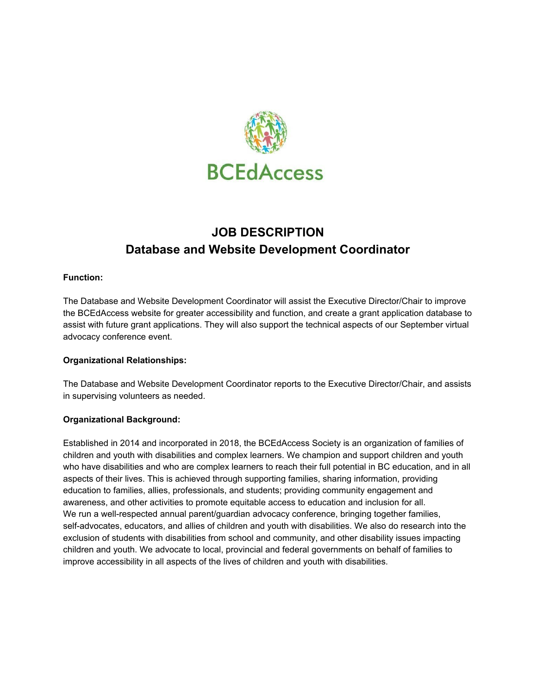

# **JOB DESCRIPTION Database and Website Development Coordinator**

# **Function:**

The Database and Website Development Coordinator will assist the Executive Director/Chair to improve the BCEdAccess website for greater accessibility and function, and create a grant application database to assist with future grant applications. They will also support the technical aspects of our September virtual advocacy conference event.

# **Organizational Relationships:**

The Database and Website Development Coordinator reports to the Executive Director/Chair, and assists in supervising volunteers as needed.

# **Organizational Background:**

Established in 2014 and incorporated in 2018, the BCEdAccess Society is an organization of families of children and youth with disabilities and complex learners. We champion and support children and youth who have disabilities and who are complex learners to reach their full potential in BC education, and in all aspects of their lives. This is achieved through supporting families, sharing information, providing education to families, allies, professionals, and students; providing community engagement and awareness, and other activities to promote equitable access to education and inclusion for all. We run a well-respected annual parent/guardian advocacy conference, bringing together families, self-advocates, educators, and allies of children and youth with disabilities. We also do research into the exclusion of students with disabilities from school and community, and other disability issues impacting children and youth. We advocate to local, provincial and federal governments on behalf of families to improve accessibility in all aspects of the lives of children and youth with disabilities.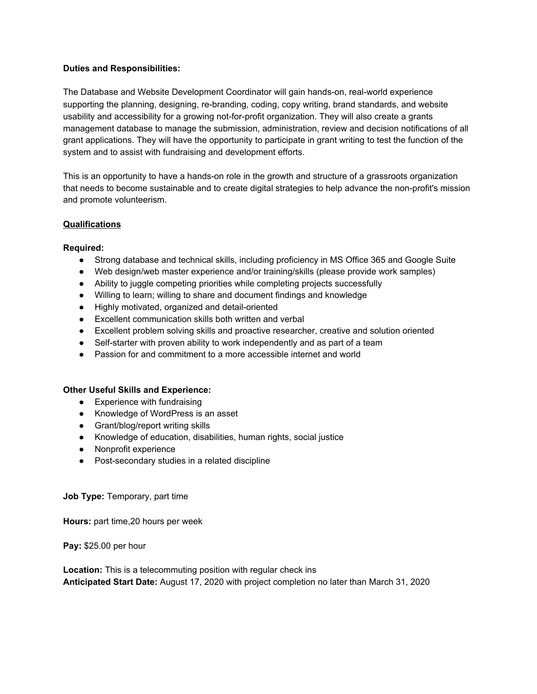#### **Duties and Responsibilities:**

The Database and Website Development Coordinator will gain hands-on, real-world experience supporting the planning, designing, re-branding, coding, copy writing, brand standards, and website usability and accessibility for a growing not-for-profit organization. They will also create a grants management database to manage the submission, administration, review and decision notifications of all grant applications. They will have the opportunity to participate in grant writing to test the function of the system and to assist with fundraising and development efforts.

This is an opportunity to have a hands-on role in the growth and structure of a grassroots organization that needs to become sustainable and to create digital strategies to help advance the non-profit's mission and promote volunteerism.

#### **Qualifications**

#### **Required:**

- Strong database and technical skills, including proficiency in MS Office 365 and Google Suite
- Web design/web master experience and/or training/skills (please provide work samples)
- Ability to juggle competing priorities while completing projects successfully
- Willing to learn; willing to share and document findings and knowledge
- Highly motivated, organized and detail-oriented
- Excellent communication skills both written and verbal
- Excellent problem solving skills and proactive researcher, creative and solution oriented
- Self-starter with proven ability to work independently and as part of a team
- Passion for and commitment to a more accessible internet and world

#### **Other Useful Skills and Experience:**

- Experience with fundraising
- Knowledge of WordPress is an asset
- Grant/blog/report writing skills
- Knowledge of education, disabilities, human rights, social justice
- Nonprofit experience
- Post-secondary studies in a related discipline

#### **Job Type:** Temporary, part time

**Hours:** part time,20 hours per week

**Pay:** \$25.00 per hour

**Location:** This is a telecommuting position with regular check ins **Anticipated Start Date:** August 17, 2020 with project completion no later than March 31, 2020